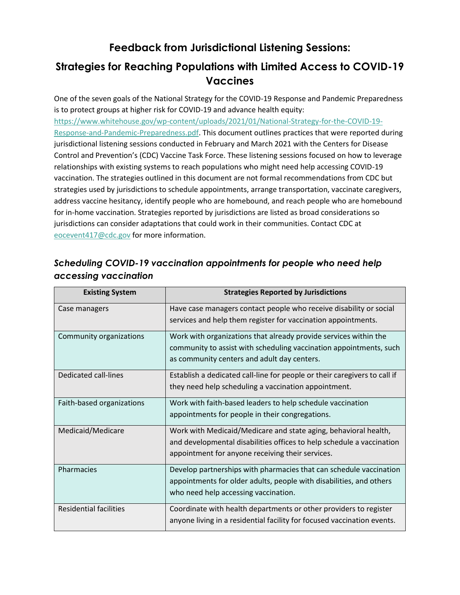# **Feedback from Jurisdictional Listening Sessions:**

# **Strategies for Reaching Populations with Limited Access to COVID-19 Vaccines**

One of the seven goals of the National Strategy for the COVID-19 Response and Pandemic Preparedness is to protect groups at higher risk for COVID-19 and advance health equity: [https://www.whitehouse.gov/wp-content/uploads/2021/01/National-Strategy-for-the-COVID-19-](https://www.whitehouse.gov/wp-content/uploads/2021/01/National-Strategy-for-the-COVID-19-Response-and-Pandemic-Preparedness.pdf) [Response-and-Pandemic-Preparedness.pdf.](https://www.whitehouse.gov/wp-content/uploads/2021/01/National-Strategy-for-the-COVID-19-Response-and-Pandemic-Preparedness.pdf) This document outlines practices that were reported during jurisdictional listening sessions conducted in February and March 2021 with the Centers for Disease Control and Prevention's (CDC) Vaccine Task Force. These listening sessions focused on how to leverage relationships with existing systems to reach populations who might need help accessing COVID-19 vaccination. The strategies outlined in this document are not formal recommendations from CDC but strategies used by jurisdictions to schedule appointments, arrange transportation, vaccinate caregivers, address vaccine hesitancy, identify people who are homebound, and reach people who are homebound for in-home vaccination. Strategies reported by jurisdictions are listed as broad considerations so jurisdictions can consider adaptations that could work in their communities. Contact CDC at [eocevent417@cdc.gov](mailto:eocevent417@cdc.gov) for more information.

# **Existing System Strategies Reported by Jurisdictions** Case managers **Have case managers contact people who receive disability or social** services and help them register for vaccination appointments. Community organizations  $\parallel$  Work with organizations that already provide services within the community to assist with scheduling vaccination appointments, such as community centers and adult day centers. Dedicated call-lines **Establish a dedicated call-line for people or their caregivers to call if** they need help scheduling a vaccination appointment. Faith-based organizations  $\parallel$  Work with faith-based leaders to help schedule vaccination appointments for people in their congregations. Medicaid/Medicare Work with Medicaid/Medicare and state aging, behavioral health, and developmental disabilities offices to help schedule a vaccination appointment for anyone receiving their services. Pharmacies Develop partnerships with pharmacies that can schedule vaccination appointments for older adults, people with disabilities, and others who need help accessing vaccination. Residential facilities **Coordinate with health departments or other providers to register** anyone living in a residential facility for focused vaccination events.

## *Scheduling COVID-19 vaccination appointments for people who need help accessing vaccination*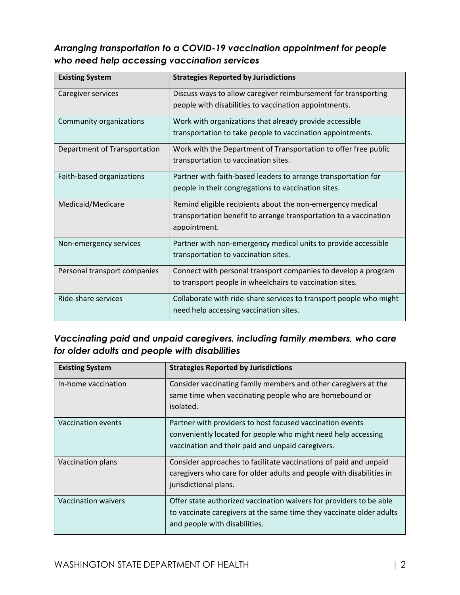## *Arranging transportation to a COVID-19 vaccination appointment for people who need help accessing vaccination services*

| <b>Existing System</b>       | <b>Strategies Reported by Jurisdictions</b>                        |
|------------------------------|--------------------------------------------------------------------|
| Caregiver services           | Discuss ways to allow caregiver reimbursement for transporting     |
|                              | people with disabilities to vaccination appointments.              |
| Community organizations      | Work with organizations that already provide accessible            |
|                              | transportation to take people to vaccination appointments.         |
| Department of Transportation | Work with the Department of Transportation to offer free public    |
|                              | transportation to vaccination sites.                               |
| Faith-based organizations    | Partner with faith-based leaders to arrange transportation for     |
|                              | people in their congregations to vaccination sites.                |
| Medicaid/Medicare            | Remind eligible recipients about the non-emergency medical         |
|                              | transportation benefit to arrange transportation to a vaccination  |
|                              | appointment.                                                       |
| Non-emergency services       | Partner with non-emergency medical units to provide accessible     |
|                              | transportation to vaccination sites.                               |
| Personal transport companies | Connect with personal transport companies to develop a program     |
|                              | to transport people in wheelchairs to vaccination sites.           |
| Ride-share services          | Collaborate with ride-share services to transport people who might |
|                              | need help accessing vaccination sites.                             |

## *Vaccinating paid and unpaid caregivers, including family members, who care for older adults and people with disabilities*

| <b>Existing System</b> | <b>Strategies Reported by Jurisdictions</b>                                                                                                                                     |
|------------------------|---------------------------------------------------------------------------------------------------------------------------------------------------------------------------------|
| In-home vaccination    | Consider vaccinating family members and other caregivers at the<br>same time when vaccinating people who are homebound or<br>isolated.                                          |
| Vaccination events     | Partner with providers to host focused vaccination events<br>conveniently located for people who might need help accessing<br>vaccination and their paid and unpaid caregivers. |
| Vaccination plans      | Consider approaches to facilitate vaccinations of paid and unpaid<br>caregivers who care for older adults and people with disabilities in<br>jurisdictional plans.              |
| Vaccination waivers    | Offer state authorized vaccination waivers for providers to be able<br>to vaccinate caregivers at the same time they vaccinate older adults<br>and people with disabilities.    |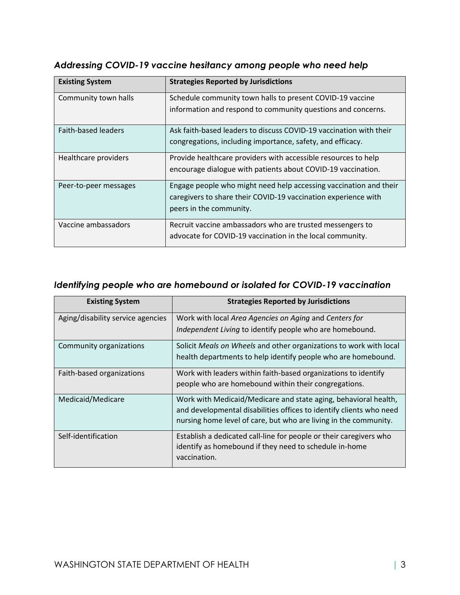| <b>Existing System</b>     | <b>Strategies Reported by Jurisdictions</b>                                                                               |
|----------------------------|---------------------------------------------------------------------------------------------------------------------------|
| Community town halls       | Schedule community town halls to present COVID-19 vaccine<br>information and respond to community questions and concerns. |
|                            |                                                                                                                           |
| <b>Faith-based leaders</b> | Ask faith-based leaders to discuss COVID-19 vaccination with their                                                        |
|                            | congregations, including importance, safety, and efficacy.                                                                |
| Healthcare providers       | Provide healthcare providers with accessible resources to help                                                            |
|                            | encourage dialogue with patients about COVID-19 vaccination.                                                              |
| Peer-to-peer messages      | Engage people who might need help accessing vaccination and their                                                         |
|                            | caregivers to share their COVID-19 vaccination experience with                                                            |
|                            | peers in the community.                                                                                                   |
| Vaccine ambassadors        | Recruit vaccine ambassadors who are trusted messengers to                                                                 |
|                            | advocate for COVID-19 vaccination in the local community.                                                                 |

### *Addressing COVID-19 vaccine hesitancy among people who need help*

### *Identifying people who are homebound or isolated for COVID-19 vaccination*

| <b>Existing System</b>            | <b>Strategies Reported by Jurisdictions</b>                         |
|-----------------------------------|---------------------------------------------------------------------|
| Aging/disability service agencies | Work with local Area Agencies on Aging and Centers for              |
|                                   | Independent Living to identify people who are homebound.            |
| Community organizations           | Solicit Meals on Wheels and other organizations to work with local  |
|                                   | health departments to help identify people who are homebound.       |
| Faith-based organizations         | Work with leaders within faith-based organizations to identify      |
|                                   | people who are homebound within their congregations.                |
| Medicaid/Medicare                 | Work with Medicaid/Medicare and state aging, behavioral health,     |
|                                   | and developmental disabilities offices to identify clients who need |
|                                   | nursing home level of care, but who are living in the community.    |
| Self-identification               | Establish a dedicated call-line for people or their caregivers who  |
|                                   | identify as homebound if they need to schedule in-home              |
|                                   | vaccination.                                                        |